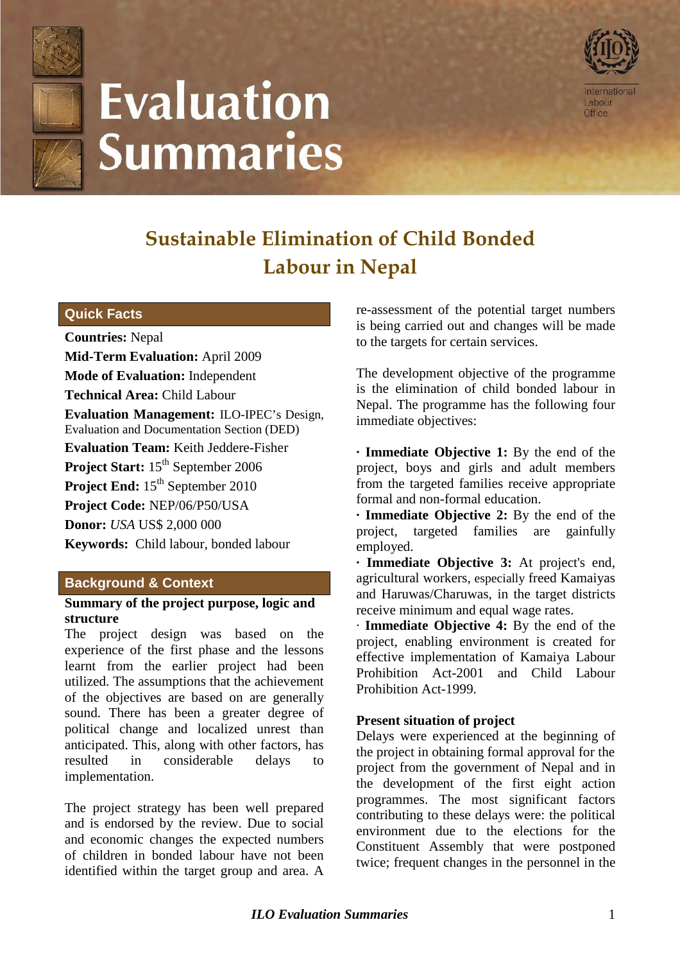

# **Evaluation Summaries**



# **Sustainable Elimination of Child Bonded Labour in Nepal**

# **Quick Facts**

**Countries:** Nepal **Mid-Term Evaluation:** April 2009 **Mode of Evaluation:** Independent **Technical Area:** Child Labour **Evaluation Management:** ILO-IPEC's Design, Evaluation and Documentation Section (DED) **Evaluation Team:** Keith Jeddere-Fisher Project Start: 15<sup>th</sup> September 2006 **Project End:** 15<sup>th</sup> September 2010 **Project Code:** NEP/06/P50/USA **Donor:** *USA* US\$ 2,000 000 **Keywords:** Child labour, bonded labour

# **Background & Context**

#### **Summary of the project purpose, logic and structure**

The project design was based on the experience of the first phase and the lessons learnt from the earlier project had been utilized. The assumptions that the achievement of the objectives are based on are generally sound. There has been a greater degree of political change and localized unrest than anticipated. This, along with other factors, has resulted in considerable delays to implementation.

The project strategy has been well prepared and is endorsed by the review. Due to social and economic changes the expected numbers of children in bonded labour have not been identified within the target group and area. A re-assessment of the potential target numbers is being carried out and changes will be made to the targets for certain services.

The development objective of the programme is the elimination of child bonded labour in Nepal. The programme has the following four immediate objectives:

**· Immediate Objective 1:** By the end of the project, boys and girls and adult members from the targeted families receive appropriate formal and non-formal education.

**· Immediate Objective 2:** By the end of the project, targeted families are gainfully employed.

**· Immediate Objective 3:** At project's end, agricultural workers, especially freed Kamaiyas and Haruwas/Charuwas, in the target districts receive minimum and equal wage rates.

· **Immediate Objective 4:** By the end of the project, enabling environment is created for effective implementation of Kamaiya Labour Prohibition Act-2001 and Child Labour Prohibition Act-1999.

# **Present situation of project**

Delays were experienced at the beginning of the project in obtaining formal approval for the project from the government of Nepal and in the development of the first eight action programmes. The most significant factors contributing to these delays were: the political environment due to the elections for the Constituent Assembly that were postponed twice; frequent changes in the personnel in the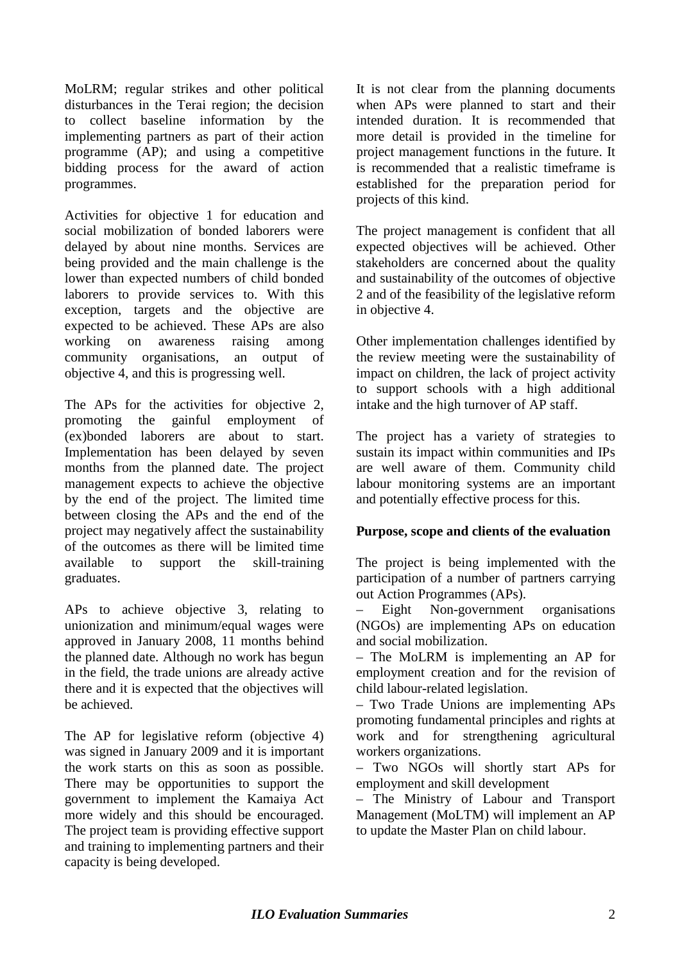MoLRM; regular strikes and other political disturbances in the Terai region; the decision to collect baseline information by the implementing partners as part of their action programme (AP); and using a competitive bidding process for the award of action programmes.

Activities for objective 1 for education and social mobilization of bonded laborers were delayed by about nine months. Services are being provided and the main challenge is the lower than expected numbers of child bonded laborers to provide services to. With this exception, targets and the objective are expected to be achieved. These APs are also working on awareness raising among community organisations, an output of objective 4, and this is progressing well.

The APs for the activities for objective 2, promoting the gainful employment of (ex)bonded laborers are about to start. Implementation has been delayed by seven months from the planned date. The project management expects to achieve the objective by the end of the project. The limited time between closing the APs and the end of the project may negatively affect the sustainability of the outcomes as there will be limited time available to support the skill-training graduates.

APs to achieve objective 3, relating to unionization and minimum/equal wages were approved in January 2008, 11 months behind the planned date. Although no work has begun in the field, the trade unions are already active there and it is expected that the objectives will be achieved.

The AP for legislative reform (objective 4) was signed in January 2009 and it is important the work starts on this as soon as possible. There may be opportunities to support the government to implement the Kamaiya Act more widely and this should be encouraged. The project team is providing effective support and training to implementing partners and their capacity is being developed.

It is not clear from the planning documents when APs were planned to start and their intended duration. It is recommended that more detail is provided in the timeline for project management functions in the future. It is recommended that a realistic timeframe is established for the preparation period for projects of this kind.

The project management is confident that all expected objectives will be achieved. Other stakeholders are concerned about the quality and sustainability of the outcomes of objective 2 and of the feasibility of the legislative reform in objective 4.

Other implementation challenges identified by the review meeting were the sustainability of impact on children, the lack of project activity to support schools with a high additional intake and the high turnover of AP staff.

The project has a variety of strategies to sustain its impact within communities and IPs are well aware of them. Community child labour monitoring systems are an important and potentially effective process for this.

# **Purpose, scope and clients of the evaluation**

The project is being implemented with the participation of a number of partners carrying out Action Programmes (APs).

– Eight Non-government organisations (NGOs) are implementing APs on education and social mobilization.

– The MoLRM is implementing an AP for employment creation and for the revision of child labour-related legislation.

– Two Trade Unions are implementing APs promoting fundamental principles and rights at work and for strengthening agricultural workers organizations.

– Two NGOs will shortly start APs for employment and skill development

– The Ministry of Labour and Transport Management (MoLTM) will implement an AP to update the Master Plan on child labour.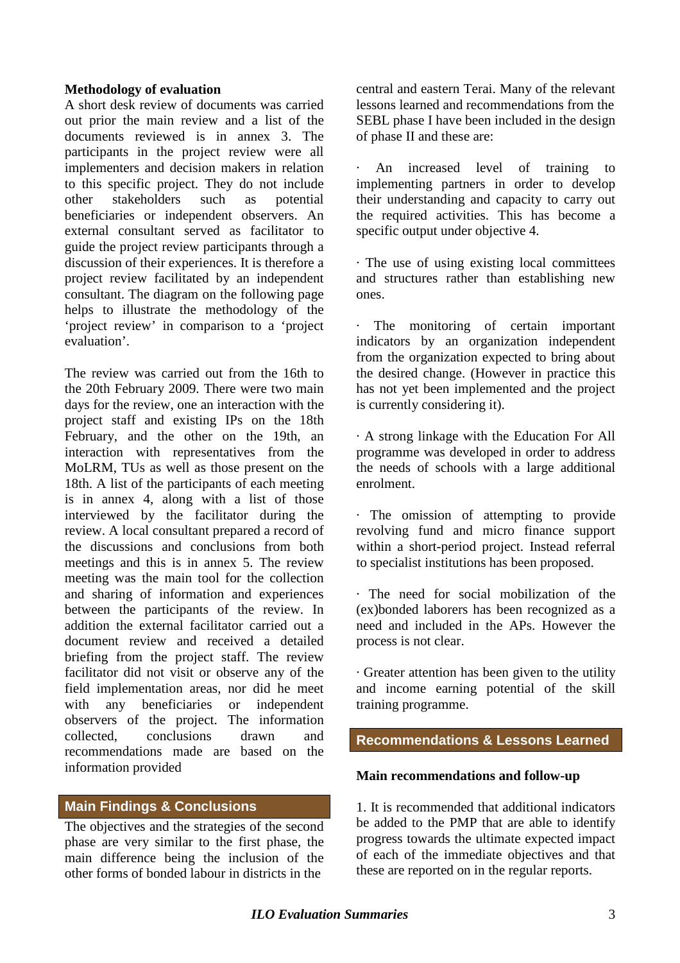#### **Methodology of evaluation**

A short desk review of documents was carried out prior the main review and a list of the documents reviewed is in annex 3. The participants in the project review were all implementers and decision makers in relation to this specific project. They do not include other stakeholders such as potential beneficiaries or independent observers. An external consultant served as facilitator to guide the project review participants through a discussion of their experiences. It is therefore a project review facilitated by an independent consultant. The diagram on the following page helps to illustrate the methodology of the 'project review' in comparison to a 'project evaluation'.

The review was carried out from the 16th to the 20th February 2009. There were two main days for the review, one an interaction with the project staff and existing IPs on the 18th February, and the other on the 19th, an interaction with representatives from the MoLRM, TUs as well as those present on the 18th. A list of the participants of each meeting is in annex 4, along with a list of those interviewed by the facilitator during the review. A local consultant prepared a record of the discussions and conclusions from both meetings and this is in annex 5. The review meeting was the main tool for the collection and sharing of information and experiences between the participants of the review. In addition the external facilitator carried out a document review and received a detailed briefing from the project staff. The review facilitator did not visit or observe any of the field implementation areas, nor did he meet with any beneficiaries or independent observers of the project. The information collected, conclusions drawn and recommendations made are based on the information provided

# **Main Findings & Conclusions**

The objectives and the strategies of the second phase are very similar to the first phase, the main difference being the inclusion of the other forms of bonded labour in districts in the

central and eastern Terai. Many of the relevant lessons learned and recommendations from the SEBL phase I have been included in the design of phase II and these are:

An increased level of training to implementing partners in order to develop their understanding and capacity to carry out the required activities. This has become a specific output under objective 4.

· The use of using existing local committees and structures rather than establishing new ones.

· The monitoring of certain important indicators by an organization independent from the organization expected to bring about the desired change. (However in practice this has not yet been implemented and the project is currently considering it).

· A strong linkage with the Education For All programme was developed in order to address the needs of schools with a large additional enrolment.

· The omission of attempting to provide revolving fund and micro finance support within a short-period project. Instead referral to specialist institutions has been proposed.

· The need for social mobilization of the (ex)bonded laborers has been recognized as a need and included in the APs. However the process is not clear.

· Greater attention has been given to the utility and income earning potential of the skill training programme.

# **Recommendations & Lessons Learned**

#### **Main recommendations and follow-up**

1. It is recommended that additional indicators be added to the PMP that are able to identify progress towards the ultimate expected impact of each of the immediate objectives and that these are reported on in the regular reports.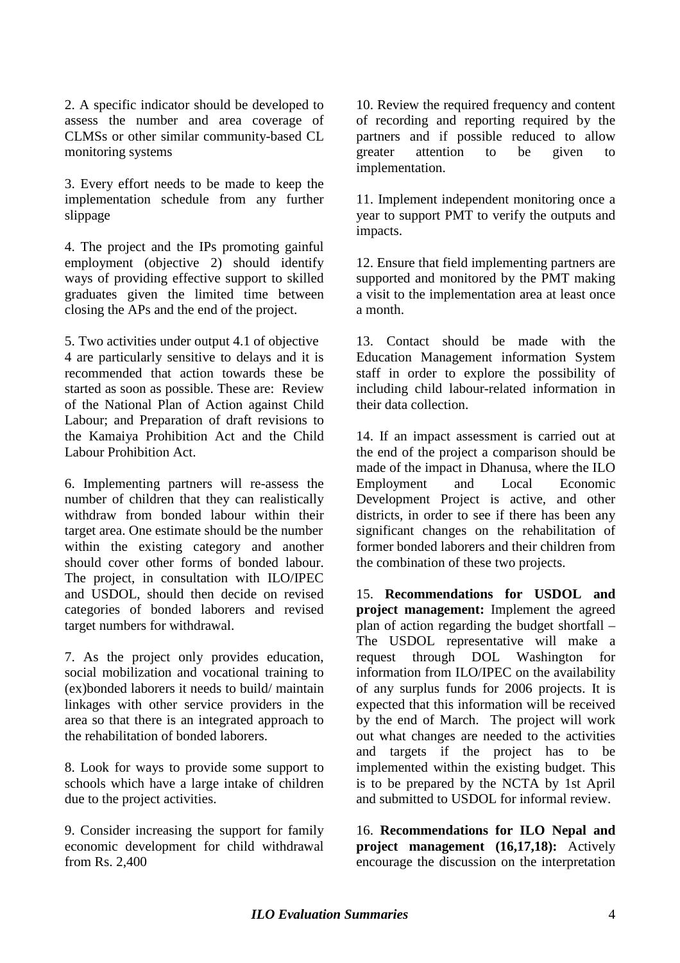2. A specific indicator should be developed to assess the number and area coverage of CLMSs or other similar community-based CL monitoring systems

3. Every effort needs to be made to keep the implementation schedule from any further slippage

4. The project and the IPs promoting gainful employment (objective 2) should identify ways of providing effective support to skilled graduates given the limited time between closing the APs and the end of the project.

5. Two activities under output 4.1 of objective 4 are particularly sensitive to delays and it is recommended that action towards these be started as soon as possible. These are: Review of the National Plan of Action against Child Labour; and Preparation of draft revisions to the Kamaiya Prohibition Act and the Child Labour Prohibition Act.

6. Implementing partners will re-assess the number of children that they can realistically withdraw from bonded labour within their target area. One estimate should be the number within the existing category and another should cover other forms of bonded labour. The project, in consultation with ILO/IPEC and USDOL, should then decide on revised categories of bonded laborers and revised target numbers for withdrawal.

7. As the project only provides education, social mobilization and vocational training to (ex)bonded laborers it needs to build/ maintain linkages with other service providers in the area so that there is an integrated approach to the rehabilitation of bonded laborers.

8. Look for ways to provide some support to schools which have a large intake of children due to the project activities.

9. Consider increasing the support for family economic development for child withdrawal from Rs. 2,400

10. Review the required frequency and content of recording and reporting required by the partners and if possible reduced to allow greater attention to be given to implementation.

11. Implement independent monitoring once a year to support PMT to verify the outputs and impacts.

12. Ensure that field implementing partners are supported and monitored by the PMT making a visit to the implementation area at least once a month.

13. Contact should be made with the Education Management information System staff in order to explore the possibility of including child labour-related information in their data collection.

14. If an impact assessment is carried out at the end of the project a comparison should be made of the impact in Dhanusa, where the ILO Employment and Local Economic Development Project is active, and other districts, in order to see if there has been any significant changes on the rehabilitation of former bonded laborers and their children from the combination of these two projects.

15. **Recommendations for USDOL and project management:** Implement the agreed plan of action regarding the budget shortfall – The USDOL representative will make a request through DOL Washington for information from ILO/IPEC on the availability of any surplus funds for 2006 projects. It is expected that this information will be received by the end of March. The project will work out what changes are needed to the activities and targets if the project has to be implemented within the existing budget. This is to be prepared by the NCTA by 1st April and submitted to USDOL for informal review.

16. **Recommendations for ILO Nepal and project management (16,17,18):** Actively encourage the discussion on the interpretation